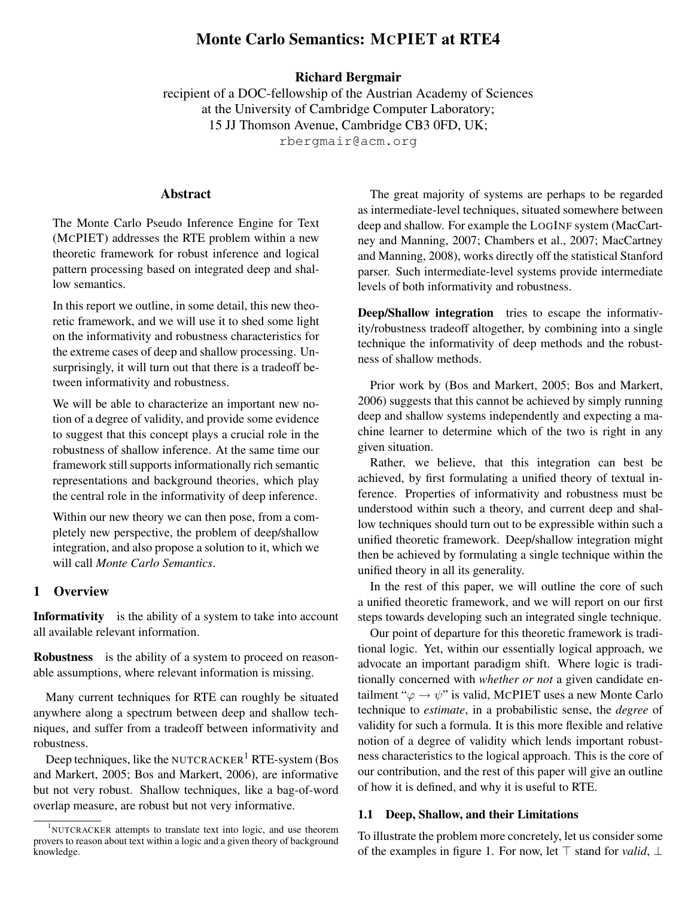# Monte Carlo Semantics: MCPIET at RTE4

## Richard Bergmair

recipient of a DOC-fellowship of the Austrian Academy of Sciences at the University of Cambridge Computer Laboratory; 15 JJ Thomson Avenue, Cambridge CB3 0FD, UK; rbergmair@acm.org

## Abstract

The Monte Carlo Pseudo Inference Engine for Text (MCPIET) addresses the RTE problem within a new theoretic framework for robust inference and logical pattern processing based on integrated deep and shallow semantics.

In this report we outline, in some detail, this new theoretic framework, and we will use it to shed some light on the informativity and robustness characteristics for the extreme cases of deep and shallow processing. Unsurprisingly, it will turn out that there is a tradeoff between informativity and robustness.

We will be able to characterize an important new notion of a degree of validity, and provide some evidence to suggest that this concept plays a crucial role in the robustness of shallow inference. At the same time our framework still supports informationally rich semantic representations and background theories, which play the central role in the informativity of deep inference.

Within our new theory we can then pose, from a completely new perspective, the problem of deep/shallow integration, and also propose a solution to it, which we will call *Monte Carlo Semantics*.

## 1 Overview

Informativity is the ability of a system to take into account all available relevant information.

Robustness is the ability of a system to proceed on reasonable assumptions, where relevant information is missing.

Many current techniques for RTE can roughly be situated anywhere along a spectrum between deep and shallow techniques, and suffer from a tradeoff between informativity and robustness.

Deep techniques, like the NUTCRACKER<sup>1</sup> RTE-system (Bos and Markert, 2005; Bos and Markert, 2006), are informative but not very robust. Shallow techniques, like a bag-of-word overlap measure, are robust but not very informative.

The great majority of systems are perhaps to be regarded as intermediate-level techniques, situated somewhere between deep and shallow. For example the LOGINF system (MacCartney and Manning, 2007; Chambers et al., 2007; MacCartney and Manning, 2008), works directly off the statistical Stanford parser. Such intermediate-level systems provide intermediate levels of both informativity and robustness.

Deep/Shallow integration tries to escape the informativity/robustness tradeoff altogether, by combining into a single technique the informativity of deep methods and the robustness of shallow methods.

Prior work by (Bos and Markert, 2005; Bos and Markert, 2006) suggests that this cannot be achieved by simply running deep and shallow systems independently and expecting a machine learner to determine which of the two is right in any given situation.

Rather, we believe, that this integration can best be achieved, by first formulating a unified theory of textual inference. Properties of informativity and robustness must be understood within such a theory, and current deep and shallow techniques should turn out to be expressible within such a unified theoretic framework. Deep/shallow integration might then be achieved by formulating a single technique within the unified theory in all its generality.

In the rest of this paper, we will outline the core of such a unified theoretic framework, and we will report on our first steps towards developing such an integrated single technique.

Our point of departure for this theoretic framework is traditional logic. Yet, within our essentially logical approach, we advocate an important paradigm shift. Where logic is traditionally concerned with *whether or not* a given candidate entailment " $\varphi \rightarrow \psi$ " is valid, MCPIET uses a new Monte Carlo technique to *estimate*, in a probabilistic sense, the *degree* of validity for such a formula. It is this more flexible and relative notion of a degree of validity which lends important robustness characteristics to the logical approach. This is the core of our contribution, and the rest of this paper will give an outline of how it is defined, and why it is useful to RTE.

#### 1.1 Deep, Shallow, and their Limitations

To illustrate the problem more concretely, let us consider some of the examples in figure 1. For now, let  $\top$  stand for *valid*,  $\bot$ 

<sup>&</sup>lt;sup>1</sup>NUTCRACKER attempts to translate text into logic, and use theorem provers to reason about text within a logic and a given theory of background knowledge.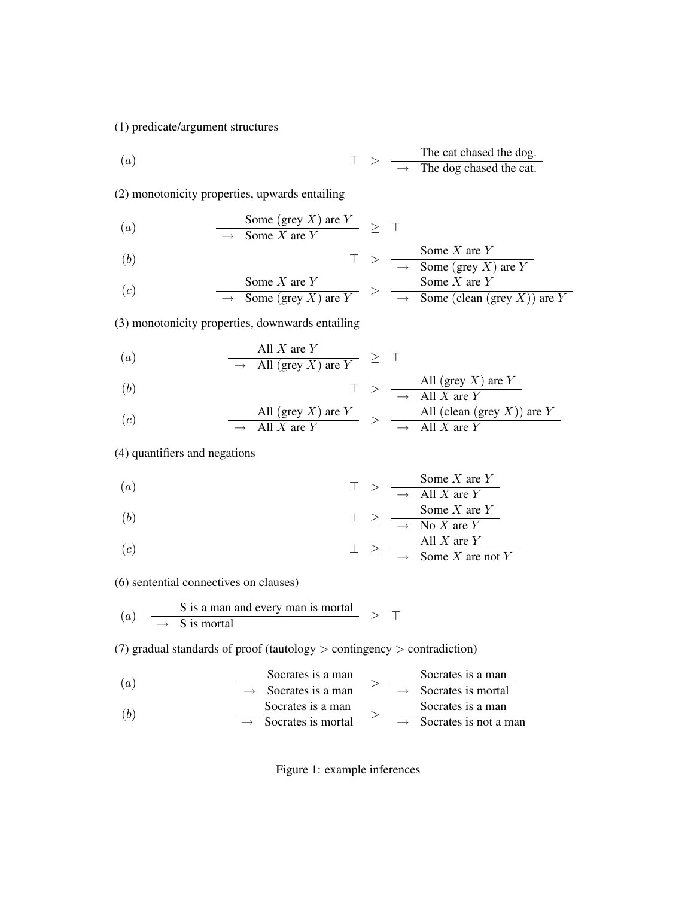## (1) predicate/argument structures

(a) The cat changed the dog.  
\n
$$
\top \quad > \quad \frac{\text{The cat chased the dog.}}{\rightarrow \text{ The dog chased the cat.}}
$$

(2) monotonicity properties, upwards entailing

(a) 
$$
\frac{\text{Some (grey } X \text{) are } Y}{\rightarrow \text{ Some } X \text{ are } Y} \geq \top
$$

(b)  
\n
$$
\top \quad > \quad \frac{\text{Some } X \text{ are } Y}{\longrightarrow \quad \text{Some } ( \text{grey } X) \text{ are } Y}
$$
\n
$$
\text{Some } X \text{ are } Y
$$
\n
$$
\text{Some } X \text{ are } Y
$$

(c) Some X are Y  
\n
$$
\frac{\text{Some } X \text{ are } Y}{\longrightarrow \text{Some (grey } X) \text{ are } Y} > \frac{\text{Some } X \text{ are } Y}{\longrightarrow \text{Some (clean (grey } X)) \text{ are } Y}
$$

(3) monotonicity properties, downwards entailing

(a) 
$$
\frac{\text{All } X \text{ are } Y}{\longrightarrow \text{ All (grey } X \text{) are } Y} \geq \top
$$

$$
(b) \t\t T > -
$$

(b)  
\n
$$
\begin{array}{ccc}\n\uparrow > & \frac{\text{All (grey } X \text{) are } Y}{\longrightarrow & \text{All } X \text{ are } Y} \\
\text{(c)} & & \frac{\text{All (grey } X \text{) are } Y}{\longrightarrow & \text{All } X \text{ are } Y} > & \frac{\text{All (clean (grey } X \text{)) are } Y}{\longrightarrow & \text{All } X \text{ are } Y}\n\end{array}
$$

(4) quantifiers and negations

(a) 
$$
\tau \geq \frac{\text{Some } X \text{ are } Y}{\rightarrow \text{ All } X \text{ are } Y}
$$

$$
(b) \qquad \qquad \perp \geq \qquad \frac{\text{Some } X \text{ are } Y}{\longrightarrow \text{ No } X \text{ are } Y}
$$

(c) 
$$
\perp \geq \frac{All X \text{ are } Y}{\rightarrow \text{ Some } X \text{ are not } Y}
$$

(6) sentential connectives on clauses)

(a) 
$$
\frac{\text{S is a man and every man is mortal}}{\rightarrow \text{S is mortal}}
$$
  $\geq \top$ 

(7) gradual standards of proof (tautology > contingency > contradiction)

| (a)                                | Socrates is a man                   | Socrates is a man               |
|------------------------------------|-------------------------------------|---------------------------------|
| $\rightarrow$ Socrates is a man    | $\rightarrow$ Socrates is a moral   |                                 |
| (b)                                | $\rightarrow$ Socrates is a man     | $\rightarrow$ Socrates is a man |
| $\rightarrow$ Socrates is a mortal | $\rightarrow$ Socrates is not a man |                                 |

Figure 1: example inferences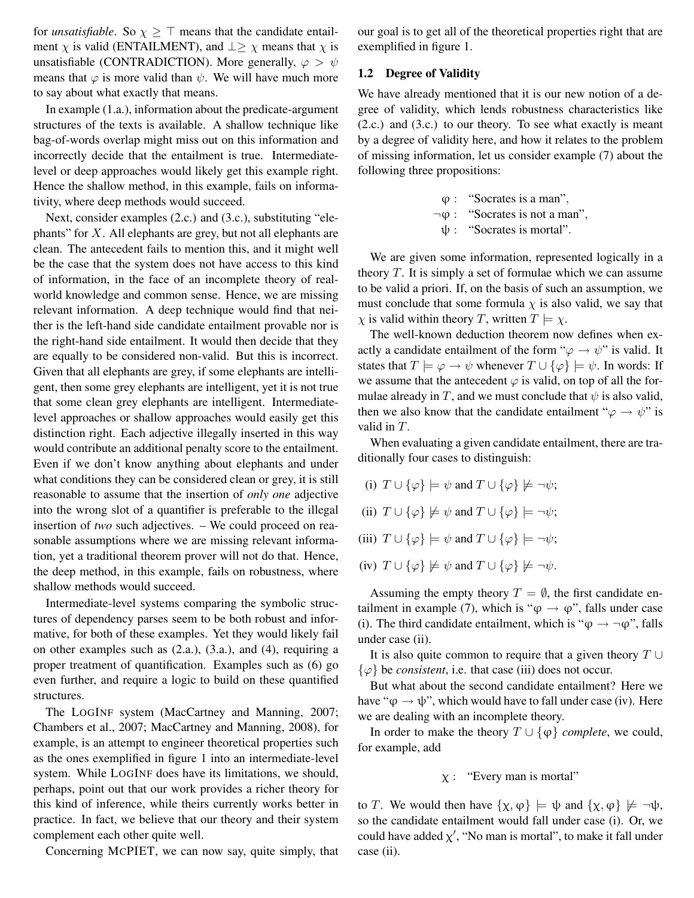for *unsatisfiable*. So  $\chi \geq \top$  means that the candidate entailment  $\chi$  is valid (ENTAILMENT), and  $\perp \geq \chi$  means that  $\chi$  is unsatisfiable (CONTRADICTION). More generally,  $\varphi > \psi$ means that  $\varphi$  is more valid than  $\psi$ . We will have much more to say about what exactly that means.

In example (1.a.), information about the predicate-argument structures of the texts is available. A shallow technique like bag-of-words overlap might miss out on this information and incorrectly decide that the entailment is true. Intermediatelevel or deep approaches would likely get this example right. Hence the shallow method, in this example, fails on informativity, where deep methods would succeed.

Next, consider examples (2.c.) and (3.c.), substituting "elephants" for  $X$ . All elephants are grey, but not all elephants are clean. The antecedent fails to mention this, and it might well be the case that the system does not have access to this kind of information, in the face of an incomplete theory of realworld knowledge and common sense. Hence, we are missing relevant information. A deep technique would find that neither is the left-hand side candidate entailment provable nor is the right-hand side entailment. It would then decide that they are equally to be considered non-valid. But this is incorrect. Given that all elephants are grey, if some elephants are intelligent, then some grey elephants are intelligent, yet it is not true that some clean grey elephants are intelligent. Intermediatelevel approaches or shallow approaches would easily get this distinction right. Each adjective illegally inserted in this way would contribute an additional penalty score to the entailment. Even if we don't know anything about elephants and under what conditions they can be considered clean or grey, it is still reasonable to assume that the insertion of *only one* adjective into the wrong slot of a quantifier is preferable to the illegal insertion of *two* such adjectives. – We could proceed on reasonable assumptions where we are missing relevant information, yet a traditional theorem prover will not do that. Hence, the deep method, in this example, fails on robustness, where shallow methods would succeed.

Intermediate-level systems comparing the symbolic structures of dependency parses seem to be both robust and informative, for both of these examples. Yet they would likely fail on other examples such as (2.a.), (3.a.), and (4), requiring a proper treatment of quantification. Examples such as (6) go even further, and require a logic to build on these quantified structures.

The LOGINF system (MacCartney and Manning, 2007; Chambers et al., 2007; MacCartney and Manning, 2008), for example, is an attempt to engineer theoretical properties such as the ones exemplified in figure 1 into an intermediate-level system. While LOGINF does have its limitations, we should, perhaps, point out that our work provides a richer theory for this kind of inference, while theirs currently works better in practice. In fact, we believe that our theory and their system complement each other quite well.

Concerning MCPIET, we can now say, quite simply, that

our goal is to get all of the theoretical properties right that are exemplified in figure 1.

### 1.2 Degree of Validity

We have already mentioned that it is our new notion of a degree of validity, which lends robustness characteristics like (2.c.) and (3.c.) to our theory. To see what exactly is meant by a degree of validity here, and how it relates to the problem of missing information, let us consider example (7) about the following three propositions:

$$
\varphi
$$
: "Socrates is a man",  $\neg \varphi$ : "Socrates is not a man",  $\psi$ : "Socrates is mortal".

We are given some information, represented logically in a theory  $T$ . It is simply a set of formulae which we can assume to be valid a priori. If, on the basis of such an assumption, we must conclude that some formula  $\chi$  is also valid, we say that  $\chi$  is valid within theory T, written  $T \models \chi$ .

The well-known deduction theorem now defines when exactly a candidate entailment of the form " $\varphi \rightarrow \psi$ " is valid. It states that  $T \models \varphi \rightarrow \psi$  whenever  $T \cup {\varphi} \models \psi$ . In words: If we assume that the antecedent  $\varphi$  is valid, on top of all the formulae already in T, and we must conclude that  $\psi$  is also valid, then we also know that the candidate entailment " $\varphi \rightarrow \psi$ " is valid in T.

When evaluating a given candidate entailment, there are traditionally four cases to distinguish:

- (i)  $T \cup {\varphi} \models \psi$  and  $T \cup {\varphi} \not\models \neg \psi$ ;
- (ii)  $T \cup {\varphi} \not\models \psi$  and  $T \cup {\varphi} \models \neg \psi$ ;
- (iii)  $T \cup {\varphi} \models \psi$  and  $T \cup {\varphi} \models \neg \psi$ ;
- (iv)  $T \cup {\varphi} \not\models \psi$  and  $T \cup {\varphi} \not\models \neg \psi$ .

Assuming the empty theory  $T = \emptyset$ , the first candidate entailment in example (7), which is " $\varphi \to \varphi$ ", falls under case (i). The third candidate entailment, which is " $\varphi \rightarrow \neg \varphi$ ", falls under case (ii).

It is also quite common to require that a given theory  $T \cup$  $\{\varphi\}$  be *consistent*, i.e. that case (iii) does not occur.

But what about the second candidate entailment? Here we have " $\varphi \rightarrow \psi$ ", which would have to fall under case (iv). Here we are dealing with an incomplete theory.

In order to make the theory  $T \cup {\varphi}$  *complete*, we could, for example, add

## $x$  : "Every man is mortal"

to T. We would then have  $\{\chi, \varphi\} \models \psi$  and  $\{\chi, \varphi\} \not\models \neg \psi$ , so the candidate entailment would fall under case (i). Or, we could have added  $\chi'$ , "No man is mortal", to make it fall under case (ii).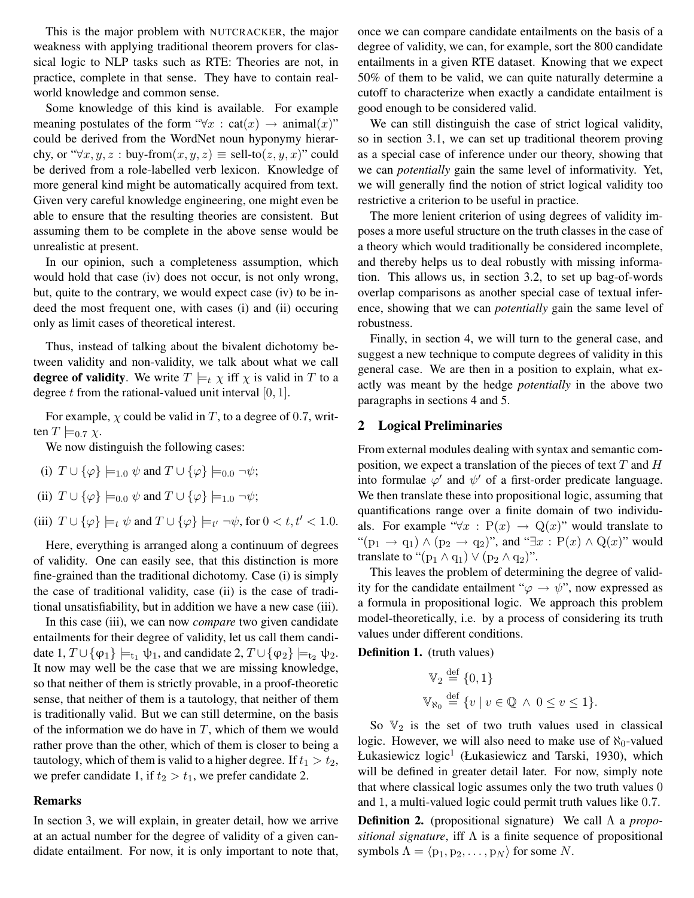This is the major problem with NUTCRACKER, the major weakness with applying traditional theorem provers for classical logic to NLP tasks such as RTE: Theories are not, in practice, complete in that sense. They have to contain realworld knowledge and common sense.

Some knowledge of this kind is available. For example meaning postulates of the form " $\forall x : \text{cat}(x) \rightarrow \text{animal}(x)$ " could be derived from the WordNet noun hyponymy hierarchy, or " $\forall x, y, z :$  buy-from $(x, y, z) \equiv$  sell-to $(z, y, x)$ " could be derived from a role-labelled verb lexicon. Knowledge of more general kind might be automatically acquired from text. Given very careful knowledge engineering, one might even be able to ensure that the resulting theories are consistent. But assuming them to be complete in the above sense would be unrealistic at present.

In our opinion, such a completeness assumption, which would hold that case (iv) does not occur, is not only wrong, but, quite to the contrary, we would expect case (iv) to be indeed the most frequent one, with cases (i) and (ii) occuring only as limit cases of theoretical interest.

Thus, instead of talking about the bivalent dichotomy between validity and non-validity, we talk about what we call **degree of validity**. We write  $T \models_t \chi$  iff  $\chi$  is valid in T to a degree t from the rational-valued unit interval  $[0, 1]$ .

For example,  $\chi$  could be valid in T, to a degree of 0.7, written  $T \models_{0.7} \chi$ .

We now distinguish the following cases:

- (i)  $T \cup {\varphi} \models_{1,0} \psi$  and  $T \cup {\varphi} \models_{0,0} \neg \psi$ ;
- (ii)  $T \cup {\varphi} \models_{0,0} \psi$  and  $T \cup {\varphi} \models_{1,0} \neg \psi$ ;
- (iii)  $T \cup {\varphi} \models_t \psi \text{ and } T \cup {\varphi} \models_{t'} \neg \psi \text{, for } 0 < t, t' < 1.0.$

Here, everything is arranged along a continuum of degrees of validity. One can easily see, that this distinction is more fine-grained than the traditional dichotomy. Case (i) is simply the case of traditional validity, case (ii) is the case of traditional unsatisfiability, but in addition we have a new case (iii).

In this case (iii), we can now *compare* two given candidate entailments for their degree of validity, let us call them candidate 1,  $T \cup {\varphi_1} \models_{t_1} \psi_1$ , and candidate 2,  $T \cup {\varphi_2} \models_{t_2} \psi_2$ . It now may well be the case that we are missing knowledge, so that neither of them is strictly provable, in a proof-theoretic sense, that neither of them is a tautology, that neither of them is traditionally valid. But we can still determine, on the basis of the information we do have in  $T$ , which of them we would rather prove than the other, which of them is closer to being a tautology, which of them is valid to a higher degree. If  $t_1 > t_2$ , we prefer candidate 1, if  $t_2 > t_1$ , we prefer candidate 2.

## Remarks

In section 3, we will explain, in greater detail, how we arrive at an actual number for the degree of validity of a given candidate entailment. For now, it is only important to note that, once we can compare candidate entailments on the basis of a degree of validity, we can, for example, sort the 800 candidate entailments in a given RTE dataset. Knowing that we expect 50% of them to be valid, we can quite naturally determine a cutoff to characterize when exactly a candidate entailment is good enough to be considered valid.

We can still distinguish the case of strict logical validity, so in section 3.1, we can set up traditional theorem proving as a special case of inference under our theory, showing that we can *potentially* gain the same level of informativity. Yet, we will generally find the notion of strict logical validity too restrictive a criterion to be useful in practice.

The more lenient criterion of using degrees of validity imposes a more useful structure on the truth classes in the case of a theory which would traditionally be considered incomplete, and thereby helps us to deal robustly with missing information. This allows us, in section 3.2, to set up bag-of-words overlap comparisons as another special case of textual inference, showing that we can *potentially* gain the same level of robustness.

Finally, in section 4, we will turn to the general case, and suggest a new technique to compute degrees of validity in this general case. We are then in a position to explain, what exactly was meant by the hedge *potentially* in the above two paragraphs in sections 4 and 5.

## 2 Logical Preliminaries

From external modules dealing with syntax and semantic composition, we expect a translation of the pieces of text  $T$  and  $H$ into formulae  $\varphi'$  and  $\psi'$  of a first-order predicate language. We then translate these into propositional logic, assuming that quantifications range over a finite domain of two individuals. For example " $\forall x : P(x) \rightarrow Q(x)$ " would translate to " $(p_1 \rightarrow q_1) \land (p_2 \rightarrow q_2)$ ", and " $\exists x : P(x) \land Q(x)$ " would translate to " $(p_1 \wedge q_1) \vee (p_2 \wedge q_2)$ ".

This leaves the problem of determining the degree of validity for the candidate entailment " $\varphi \rightarrow \psi$ ", now expressed as a formula in propositional logic. We approach this problem model-theoretically, i.e. by a process of considering its truth values under different conditions.

Definition 1. (truth values)

$$
\mathbb{V}_2 \stackrel{\text{def}}{=} \{0, 1\}
$$
  

$$
\mathbb{V}_{\aleph_0} \stackrel{\text{def}}{=} \{v \mid v \in \mathbb{Q} \ \land \ 0 \le v \le 1\}.
$$

So  $\mathbb{V}_2$  is the set of two truth values used in classical logic. However, we will also need to make use of  $\aleph_0$ -valued Łukasiewicz  $logic^1$  (Łukasiewicz and Tarski, 1930), which will be defined in greater detail later. For now, simply note that where classical logic assumes only the two truth values 0 and 1, a multi-valued logic could permit truth values like 0.7.

Definition 2. (propositional signature) We call Λ <sup>a</sup> *propositional signature*, iff Λ is a finite sequence of propositional symbols  $\Lambda = \langle p_1, p_2, \ldots, p_N \rangle$  for some N.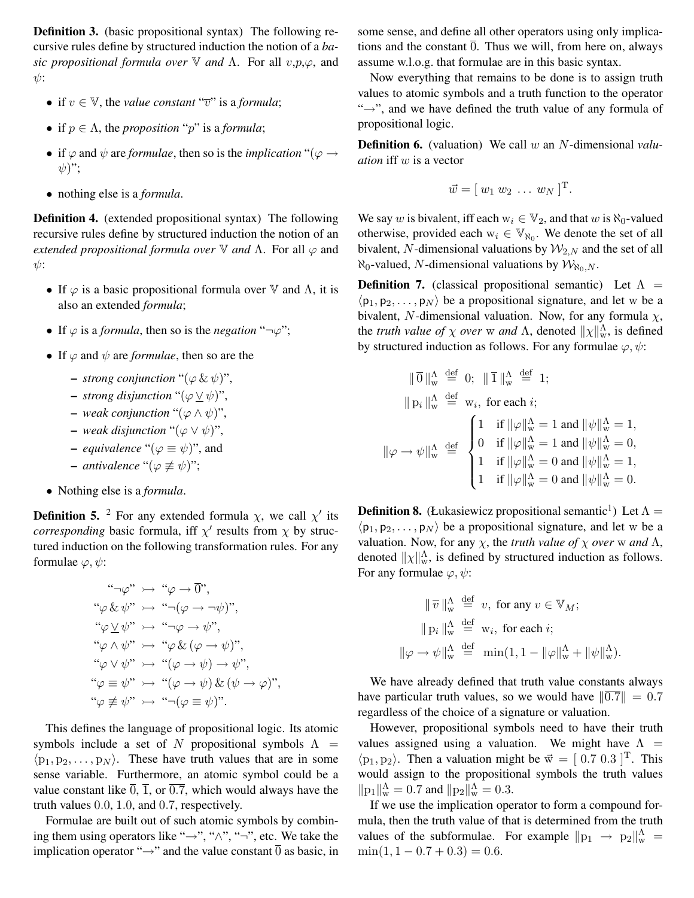Definition 3. (basic propositional syntax) The following recursive rules define by structured induction the notion of a *basic propositional formula over* <sup>V</sup> *and* Λ. For all <sup>v</sup>,p,ϕ, and  $\psi$ :

- if  $v \in V$ , the *value constant* " $\overline{v}$ " is a *formula*;
- if  $p \in \Lambda$ , the *proposition* "p" is a *formula*;
- if  $\varphi$  and  $\psi$  are *formulae*, then so is the *implication* " $(\varphi \rightarrow \varphi)$  $\psi$ ";
- nothing else is a *formula*.

Definition 4. (extended propositional syntax) The following recursive rules define by structured induction the notion of an *extended propositional formula over*  $\nabla$  *and*  $\Lambda$ . For all  $\varphi$  and  $\psi$ :

- If  $\varphi$  is a basic propositional formula over  $\mathbb {V}$  and  $\Lambda$ , it is also an extended *formula*;
- If  $\varphi$  is a *formula*, then so is the *negation* " $\neg \varphi$ ";
- If  $\varphi$  and  $\psi$  are *formulae*, then so are the
	- $-$  *strong conjunction* " $(\varphi \& \psi)$ ",
	- $-$  *strong disjunction* " $(\varphi \vee \psi)$ ",
	- $-$  *weak conjunction* "( $\varphi \land \psi$ )",
	- $-$  *weak disjunction* "( $\varphi$  ∨  $\psi$ )",
	- *equivalence* " $(\varphi \equiv \psi)$ ", and
	- $-$  *antivalence* "( $\varphi$  ≢  $\psi$ )";
- Nothing else is a *formula*.

**Definition 5.** <sup>2</sup> For any extended formula  $\chi$ , we call  $\chi'$  its *corresponding* basic formula, iff  $\chi'$  results from  $\chi$  by structured induction on the following transformation rules. For any formulae  $\varphi, \psi$ :

$$
\begin{array}{rcl}\n\text{``$\neg\varphi$''} & \rightarrow \text{``$\varphi$} \rightarrow \overline{0}$',\n\text{``$\varphi$ &$\psi$''} & \rightarrow \text{``$\neg(\varphi \rightarrow \neg \psi)$''},\n\text{``$\varphi$ &$\psi$''} & \rightarrow \text{``$\neg\varphi$} \rightarrow \psi$'',\n\text{``$\varphi$} \land \psi$''} & \rightarrow \text{``$\varphi$ &$\varphi$} \rightarrow \psi$'',\n\text{``$\varphi$} \lor \psi$''} & \rightarrow \text{``$\varphi$} \land \varphi \rightarrow \psi$) \rightarrow \psi$'',\n\text{``$\varphi$} \equiv \psi$''} & \rightarrow \text{``$\varphi$} \rightarrow \psi$ &$\varphi$ &$\psi$''},\n\text{``$\varphi$} \not\equiv \psi$''} & \rightarrow \text{``$\neg(\varphi \equiv \psi)$''}.\n\end{array}
$$

This defines the language of propositional logic. Its atomic symbols include a set of N propositional symbols  $\Lambda$  =  $\langle p_1, p_2, \ldots, p_N \rangle$ . These have truth values that are in some sense variable. Furthermore, an atomic symbol could be a value constant like  $\overline{0}$ ,  $\overline{1}$ , or  $\overline{0.7}$ , which would always have the truth values 0.0, 1.0, and 0.7, respectively.

Formulae are built out of such atomic symbols by combining them using operators like " $\rightarrow$ ", " $\wedge$ ", " $\rightarrow$ ", etc. We take the implication operator " $\rightarrow$ " and the value constant  $\overline{0}$  as basic, in some sense, and define all other operators using only implications and the constant  $\overline{0}$ . Thus we will, from here on, always assume w.l.o.g. that formulae are in this basic syntax.

Now everything that remains to be done is to assign truth values to atomic symbols and a truth function to the operator "→", and we have defined the truth value of any formula of propositional logic.

Definition 6. (valuation) We call w an N-dimensional *valuation* iff w is a vector

$$
\vec{w} = [w_1 w_2 \dots w_N]^{\mathrm{T}}.
$$

We say w is bivalent, iff each  $w_i \in V_2$ , and that w is  $\aleph_0$ -valued otherwise, provided each  $w_i \in \mathbb{V}_{\aleph_0}$ . We denote the set of all bivalent, N-dimensional valuations by  $\mathcal{W}_{2,N}$  and the set of all  $\aleph_0$ -valued, N-dimensional valuations by  $\mathcal{W}_{\aleph_0,N}$ .

**Definition 7.** (classical propositional semantic) Let  $\Lambda$  =  $\langle p_1, p_2,..., p_N \rangle$  be a propositional signature, and let w be a bivalent, N-dimensional valuation. Now, for any formula  $\chi$ , the *truth value of*  $\chi$  *over* w *and*  $\Lambda$ , denoted  $||\chi||_w^{\Lambda}$ , is defined<br>by structured induction as follows. For any formulae  $\langle \phi, \psi \rangle$ . by structured induction as follows. For any formulae  $\varphi, \psi$ :

$$
\|\overline{0}\|_{\mathbf{w}}^{\Lambda} \stackrel{\text{def}}{=} 0; \|\overline{1}\|_{\mathbf{w}}^{\Lambda} \stackrel{\text{def}}{=} 1; \|\mathbf{p}_i\|_{\mathbf{w}}^{\Lambda} \stackrel{\text{def}}{=} \mathbf{w}_i, \text{ for each } i; \|\varphi - \psi\|_{\mathbf{w}}^{\Lambda} \stackrel{\text{def}}{=} \begin{cases} 1 & \text{if } \|\varphi\|_{\mathbf{w}}^{\Lambda} = 1 \text{ and } \|\psi\|_{\mathbf{w}}^{\Lambda} = 1, 1 & \text{if } \|\varphi\|_{\mathbf{w}}^{\Lambda} = 1 \text{ and } \|\psi\|_{\mathbf{w}}^{\Lambda} = 0, 1 & \text{if } \|\varphi\|_{\mathbf{w}}^{\Lambda} = 0 \text{ and } \|\psi\|_{\mathbf{w}}^{\Lambda} = 1, 1 & \text{if } \|\varphi\|_{\mathbf{w}}^{\Lambda} = 0 \text{ and } \|\psi\|_{\mathbf{w}}^{\Lambda} = 0. \end{cases}
$$

**Definition 8.** (Łukasiewicz propositional semantic<sup>1</sup>) Let  $\Lambda$  =  $\langle p_1, p_2, \ldots, p_N \rangle$  be a propositional signature, and let w be a valuation. Now, for any  $\chi$ , the *truth value of*  $\chi$  *over* w *and*  $\Lambda$ , denoted  $\|\chi\|_{\infty}^{\Lambda}$ , is defined by structured induction as follows. For any formulae  $\varphi, \psi$ :

$$
\|\,\overline{v}\,\|_{\mathbf{w}}^{\Lambda} \stackrel{\text{def}}{=} v, \text{ for any } v \in \mathbb{V}_M; \|\,\mathbf{p}_i\,\|_{\mathbf{w}}^{\Lambda} \stackrel{\text{def}}{=} \mathbf{w}_i, \text{ for each } i; \|\varphi \to \psi\|_{\mathbf{w}}^{\Lambda} \stackrel{\text{def}}{=} \min(1, 1 - \|\varphi\|_{\mathbf{w}}^{\Lambda} + \|\psi\|_{\mathbf{w}}^{\Lambda}).
$$

We have already defined that truth value constants always have particular truth values, so we would have  $\|\overline{0.7}\| = 0.7$ regardless of the choice of a signature or valuation.

However, propositional symbols need to have their truth values assigned using a valuation. We might have  $\Lambda$  =  $\langle p_1, p_2 \rangle$ . Then a valuation might be  $\vec{w}=[0.7 \ 0.3 \ ]^T$ . This would assign to the propositional symbols the truth values  $||p_1||_w^{\Lambda} = 0.7$  and  $||p_2||_w^{\Lambda} = 0.3$ .<br>If we use the implication one

If we use the implication operator to form a compound formula, then the truth value of that is determined from the truth values of the subformulae. For example  $||p_1 \rightarrow p_2||_{\text{w}}^{\Lambda}$  =  $\min(1, 1, 0.7 + 0.3) = 0.6$  $min(1, 1 - 0.7 + 0.3) = 0.6.$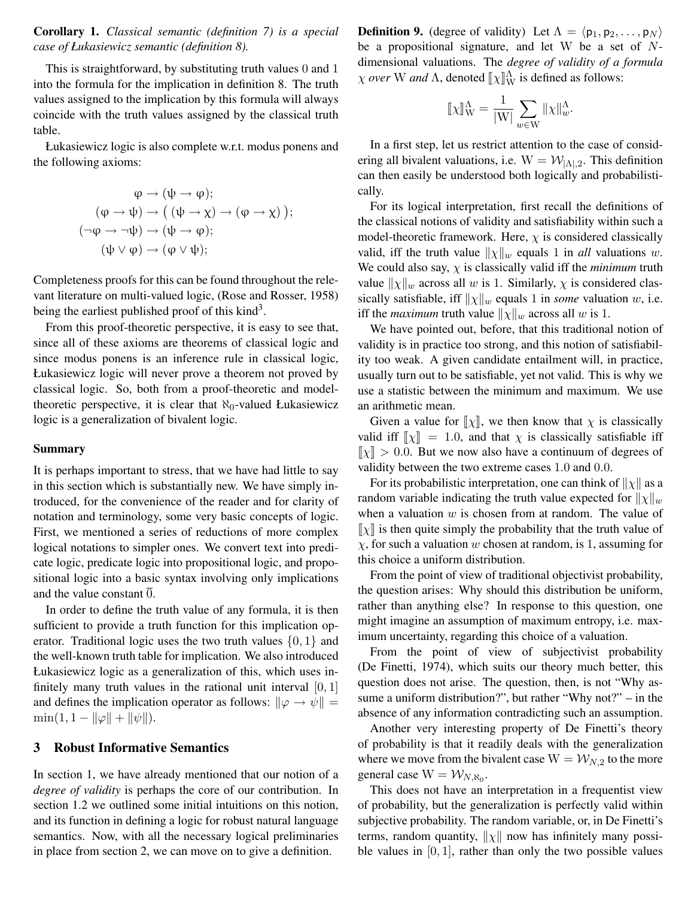Corollary 1. *Classical semantic (definition 7) is a special case of Łukasiewicz semantic (definition 8).*

This is straightforward, by substituting truth values 0 and 1 into the formula for the implication in definition 8. The truth values assigned to the implication by this formula will always coincide with the truth values assigned by the classical truth table.

Łukasiewicz logic is also complete w.r.t. modus ponens and the following axioms:

$$
\varphi \to (\psi \to \varphi);
$$
  
\n
$$
(\varphi \to \psi) \to ((\psi \to \chi) \to (\varphi \to \chi));
$$
  
\n
$$
(\neg \varphi \to \neg \psi) \to (\psi \to \varphi);
$$
  
\n
$$
(\psi \lor \varphi) \to (\varphi \lor \psi);
$$

Completeness proofs for this can be found throughout the relevant literature on multi-valued logic, (Rose and Rosser, 1958) being the earliest published proof of this  $\text{kind}^3$ .

From this proof-theoretic perspective, it is easy to see that, since all of these axioms are theorems of classical logic and since modus ponens is an inference rule in classical logic, Łukasiewicz logic will never prove a theorem not proved by classical logic. So, both from a proof-theoretic and modeltheoretic perspective, it is clear that  $\aleph_0$ -valued Łukasiewicz logic is a generalization of bivalent logic.

#### Summary

It is perhaps important to stress, that we have had little to say in this section which is substantially new. We have simply introduced, for the convenience of the reader and for clarity of notation and terminology, some very basic concepts of logic. First, we mentioned a series of reductions of more complex logical notations to simpler ones. We convert text into predicate logic, predicate logic into propositional logic, and propositional logic into a basic syntax involving only implications and the value constant  $\overline{0}$ .

In order to define the truth value of any formula, it is then sufficient to provide a truth function for this implication operator. Traditional logic uses the two truth values  $\{0, 1\}$  and the well-known truth table for implication. We also introduced Łukasiewicz logic as a generalization of this, which uses infinitely many truth values in the rational unit interval  $[0, 1]$ and defines the implication operator as follows:  $\|\varphi \to \psi\|$  =  $\min(1, 1 - ||\varphi|| + ||\psi||).$ 

## 3 Robust Informative Semantics

In section 1, we have already mentioned that our notion of a *degree of validity* is perhaps the core of our contribution. In section 1.2 we outlined some initial intuitions on this notion, and its function in defining a logic for robust natural language semantics. Now, with all the necessary logical preliminaries in place from section 2, we can move on to give a definition.

**Definition 9.** (degree of validity) Let  $\Lambda = \langle p_1, p_2, \ldots, p_N \rangle$ be a propositional signature, and let W be a set of <sup>N</sup>dimensional valuations. The *degree of validity of a formula*  $\chi$  *over* W *and*  $\Lambda$ , denoted  $[\![\chi]\!]_W^{\Lambda}$  is defined as follows:

$$
[\![\chi]\!]_W^\Lambda = \frac{1}{|W|} \sum_{w \in W} ||\chi||_w^\Lambda.
$$

In a first step, let us restrict attention to the case of considering all bivalent valuations, i.e.  $W = \mathcal{W}_{|\Lambda|,2}$ . This definition can then easily be understood both logically and probabilistically.

For its logical interpretation, first recall the definitions of the classical notions of validity and satisfiability within such a model-theoretic framework. Here,  $\chi$  is considered classically valid, iff the truth value  $\|\chi\|_w$  equals 1 in *all* valuations w. We could also say,  $\chi$  is classically valid iff the *minimum* truth value  $\|\chi\|_w$  across all w is 1. Similarly,  $\chi$  is considered classically satisfiable, iff  $\|\chi\|_w$  equals 1 in *some* valuation w, i.e. iff the *maximum* truth value  $\|\chi\|_w$  across all w is 1.

We have pointed out, before, that this traditional notion of validity is in practice too strong, and this notion of satisfiability too weak. A given candidate entailment will, in practice, usually turn out to be satisfiable, yet not valid. This is why we use a statistic between the minimum and maximum. We use an arithmetic mean.

Given a value for  $\llbracket \chi \rrbracket$ , we then know that  $\chi$  is classically valid iff  $\llbracket \chi \rrbracket = 1.0$ , and that  $\chi$  is classically satisfiable iff  $\llbracket \chi \rrbracket > 0.0$ . But we now also have a continuum of degrees of  $\llbracket \chi \rrbracket > 0.0$ . But we now also have a continuum of degrees of validity between the two extreme cases 1.0 and 0.0 validity between the two extreme cases 1.0 and 0.0.

For its probabilistic interpretation, one can think of  $||\chi||$  as a random variable indicating the truth value expected for  $||\chi||_w$ when a valuation  $w$  is chosen from at random. The value of  $\llbracket \chi \rrbracket$  is then quite simply the probability that the truth value of  $\chi$ , for such a valuation w chosen at random, is 1, assuming for this choice a uniform distribution.

From the point of view of traditional objectivist probability, the question arises: Why should this distribution be uniform, rather than anything else? In response to this question, one might imagine an assumption of maximum entropy, i.e. maximum uncertainty, regarding this choice of a valuation.

From the point of view of subjectivist probability (De Finetti, 1974), which suits our theory much better, this question does not arise. The question, then, is not "Why assume a uniform distribution?", but rather "Why not?" – in the absence of any information contradicting such an assumption.

Another very interesting property of De Finetti's theory of probability is that it readily deals with the generalization where we move from the bivalent case  $W = W_{N,2}$  to the more general case  $W = \mathcal{W}_{N, \aleph_0}$ .

This does not have an interpretation in a frequentist view of probability, but the generalization is perfectly valid within subjective probability. The random variable, or, in De Finetti's terms, random quantity,  $\|\chi\|$  now has infinitely many possible values in  $[0, 1]$ , rather than only the two possible values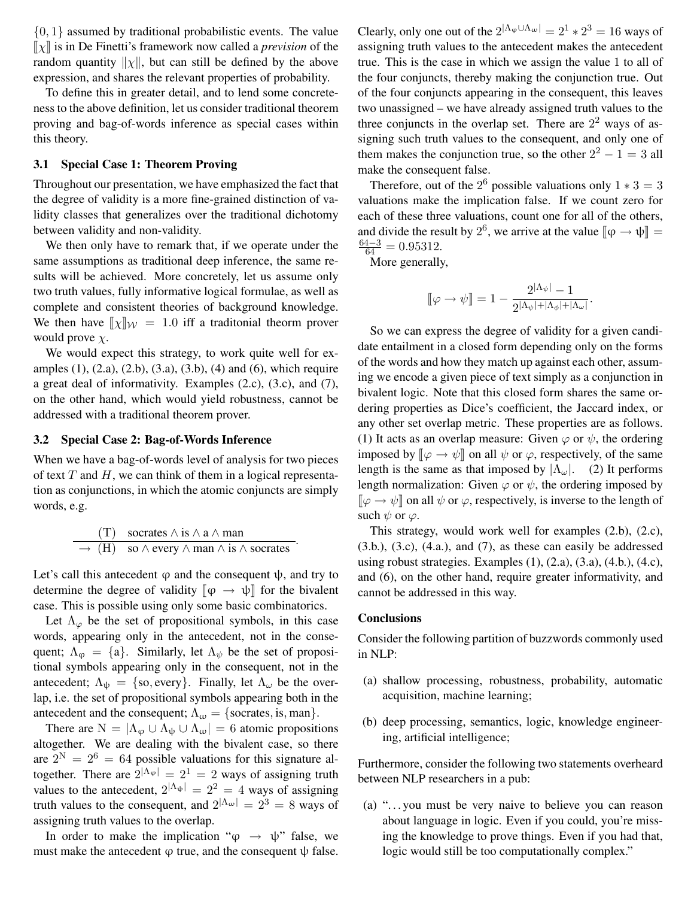$\{0, 1\}$  assumed by traditional probabilistic events. The value  $\llbracket \chi \rrbracket$  is in De Finetti's framework now called a *prevision* of the random quantity  $||\chi||$ , but can still be defined by the above expression, and shares the relevant properties of probability.

To define this in greater detail, and to lend some concreteness to the above definition, let us consider traditional theorem proving and bag-of-words inference as special cases within this theory.

#### 3.1 Special Case 1: Theorem Proving

Throughout our presentation, we have emphasized the fact that the degree of validity is a more fine-grained distinction of validity classes that generalizes over the traditional dichotomy between validity and non-validity.

We then only have to remark that, if we operate under the same assumptions as traditional deep inference, the same results will be achieved. More concretely, let us assume only two truth values, fully informative logical formulae, as well as complete and consistent theories of background knowledge. We then have  $[\![\chi]\!]_{\mathcal{W}} = 1.0$  iff a traditonial theorm prover<br>would prove  $\chi$ would prove  $\chi$ .

We would expect this strategy, to work quite well for examples (1), (2.a), (2.b), (3.a), (3.b), (4) and (6), which require a great deal of informativity. Examples (2.c), (3.c), and (7), on the other hand, which would yield robustness, cannot be addressed with a traditional theorem prover.

#### 3.2 Special Case 2: Bag-of-Words Inference

When we have a bag-of-words level of analysis for two pieces of text  $T$  and  $H$ , we can think of them in a logical representation as conjunctions, in which the atomic conjuncts are simply words, e.g.

(T) 
$$
\text{socrates } \land \text{ is } \land \text{ a } \land \text{ man}
$$
  
\n $\rightarrow$  (H) so  $\land$  every  $\land$  man  $\land$  is  $\land$  sorrates

Let's call this antecedent  $\varphi$  and the consequent  $\psi$ , and try to determine the degree of validity  $\llbracket \phi \rightarrow \psi \rrbracket$  for the bivalent case. This is possible using only some basic combinatorics.

Let  $\Lambda_{\varphi}$  be the set of propositional symbols, in this case words, appearing only in the antecedent, not in the consequent;  $\Lambda_{\varphi} = \{a\}$ . Similarly, let  $\Lambda_{\psi}$  be the set of propositional symbols appearing only in the consequent, not in the antecedent;  $\Lambda_{\psi} = \{\text{so}, \text{every}\}.$  Finally, let  $\Lambda_{\omega}$  be the overlap, i.e. the set of propositional symbols appearing both in the antecedent and the consequent;  $\Lambda_{\omega} = \{\text{socrates}, \text{is}, \text{man}\}.$ 

There are  $N = |\Lambda_{\varphi} \cup \Lambda_{\psi} \cup \Lambda_{\omega}| = 6$  atomic propositions altogether. We are dealing with the bivalent case, so there are  $2^N = 2^6 = 64$  possible valuations for this signature altogether. There are  $2^{|\Lambda_{\varphi}|} = 2^1 = 2$  ways of assigning truth values to the antecedent,  $2^{|\Lambda_{\psi}|} = 2^2 = 4$  ways of assigning truth values to the consequent, and  $2^{|\Lambda_{\omega}|} = 2^3 = 8$  ways of assigning truth values to the overlap.

In order to make the implication " $\varphi \rightarrow \psi$ " false, we must make the antecedent  $\varphi$  true, and the consequent  $\psi$  false.

Clearly, only one out of the  $2^{|\Lambda_{\varphi}\cup\Lambda_{\omega}|} = 2^1 * 2^3 = 16$  ways of assigning truth values to the antecedent makes the antecedent true. This is the case in which we assign the value 1 to all of the four conjuncts, thereby making the conjunction true. Out of the four conjuncts appearing in the consequent, this leaves two unassigned – we have already assigned truth values to the three conjuncts in the overlap set. There are  $2<sup>2</sup>$  ways of assigning such truth values to the consequent, and only one of them makes the conjunction true, so the other  $2^2 - 1 = 3$  all make the consequent false.

Therefore, out of the  $2^6$  possible valuations only  $1 * 3 = 3$ valuations make the implication false. If we count zero for each of these three valuations, count one for all of the others, and divide the result by 2<sup>6</sup>, we arrive at the value  $[\![\varphi \rightarrow \psi]\!] = \frac{64-3}{6} = 0.95312$ .  $\frac{64-3}{64} = 0.95312.$ 

More generally,

$$
\llbracket \varphi \to \psi \rrbracket = 1 - \frac{2^{|\Lambda_{\psi}|} - 1}{2^{|\Lambda_{\psi}| + |\Lambda_{\phi}| + |\Lambda_{\omega}|}}
$$

.

So we can express the degree of validity for a given candidate entailment in a closed form depending only on the forms of the words and how they match up against each other, assuming we encode a given piece of text simply as a conjunction in bivalent logic. Note that this closed form shares the same ordering properties as Dice's coefficient, the Jaccard index, or any other set overlap metric. These properties are as follows. (1) It acts as an overlap measure: Given  $\varphi$  or  $\psi$ , the ordering imposed by  $[\varphi \rightarrow \psi]$  on all  $\psi$  or  $\varphi$ , respectively, of the same length is the same as that imposed by  $|\Lambda_{\omega}|$ . (2) It performs length normalization: Given  $\varphi$  or  $\psi$ , the ordering imposed by  $\llbracket \varphi \to \psi \rrbracket$  on all  $\psi$  or  $\varphi$ , respectively, is inverse to the length of such  $\psi$  or  $\varphi$ .

This strategy, would work well for examples (2.b), (2.c), (3.b.), (3.c), (4.a.), and (7), as these can easily be addressed using robust strategies. Examples  $(1)$ ,  $(2.a)$ ,  $(3.a)$ ,  $(4.b)$ ,  $(4.c)$ , and (6), on the other hand, require greater informativity, and cannot be addressed in this way.

#### **Conclusions**

Consider the following partition of buzzwords commonly used in NLP:

- (a) shallow processing, robustness, probability, automatic acquisition, machine learning;
- (b) deep processing, semantics, logic, knowledge engineering, artificial intelligence;

Furthermore, consider the following two statements overheard between NLP researchers in a pub:

(a) ". . . you must be very naive to believe you can reason about language in logic. Even if you could, you're missing the knowledge to prove things. Even if you had that, logic would still be too computationally complex."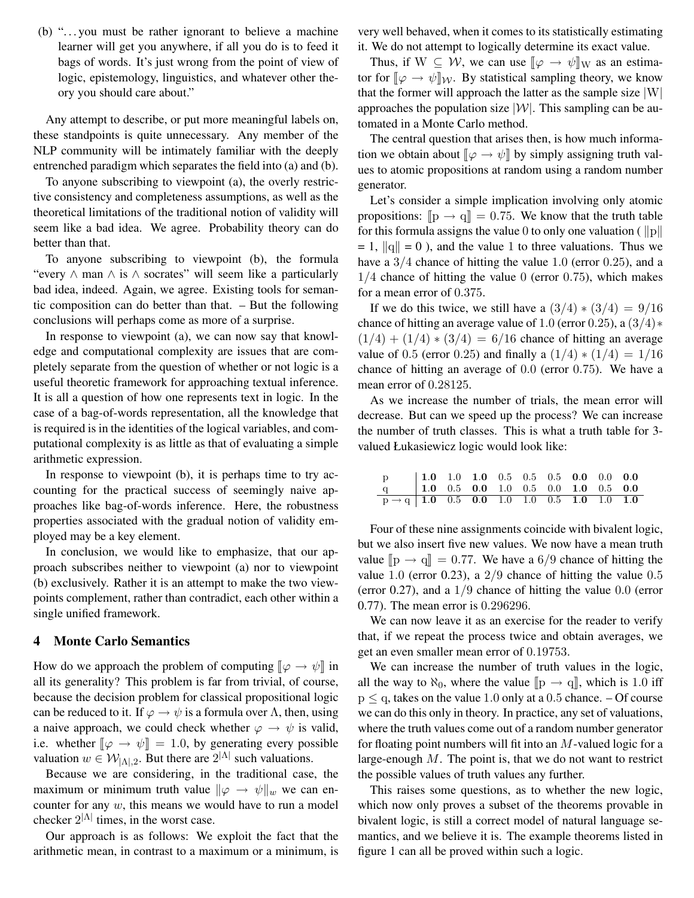(b) ". . . you must be rather ignorant to believe a machine learner will get you anywhere, if all you do is to feed it bags of words. It's just wrong from the point of view of logic, epistemology, linguistics, and whatever other theory you should care about."

Any attempt to describe, or put more meaningful labels on, these standpoints is quite unnecessary. Any member of the NLP community will be intimately familiar with the deeply entrenched paradigm which separates the field into (a) and (b).

To anyone subscribing to viewpoint (a), the overly restrictive consistency and completeness assumptions, as well as the theoretical limitations of the traditional notion of validity will seem like a bad idea. We agree. Probability theory can do better than that.

To anyone subscribing to viewpoint (b), the formula "every ∧ man ∧ is ∧ socrates" will seem like a particularly bad idea, indeed. Again, we agree. Existing tools for semantic composition can do better than that. – But the following conclusions will perhaps come as more of a surprise.

In response to viewpoint (a), we can now say that knowledge and computational complexity are issues that are completely separate from the question of whether or not logic is a useful theoretic framework for approaching textual inference. It is all a question of how one represents text in logic. In the case of a bag-of-words representation, all the knowledge that is required is in the identities of the logical variables, and computational complexity is as little as that of evaluating a simple arithmetic expression.

In response to viewpoint (b), it is perhaps time to try accounting for the practical success of seemingly naive approaches like bag-of-words inference. Here, the robustness properties associated with the gradual notion of validity employed may be a key element.

In conclusion, we would like to emphasize, that our approach subscribes neither to viewpoint (a) nor to viewpoint (b) exclusively. Rather it is an attempt to make the two viewpoints complement, rather than contradict, each other within a single unified framework.

### 4 Monte Carlo Semantics

How do we approach the problem of computing  $\llbracket \varphi \to \psi \rrbracket$  in all its generality? This problem is far from trivial, of course, because the decision problem for classical propositional logic can be reduced to it. If  $\varphi \to \psi$  is a formula over  $\Lambda$ , then, using a naive approach, we could check whether  $\varphi \to \psi$  is valid, i.e. whether  $[\varphi \rightarrow \psi] = 1.0$ , by generating every possible<br>valuation  $w \in \mathcal{W}_{\text{max}}$ . But there are  $2^{|\Lambda|}$  such valuations valuation  $w \in \mathcal{W}_{|\Lambda|,2}$ . But there are  $2^{|\Lambda|}$  such valuations.

Because we are considering, in the traditional case, the maximum or minimum truth value  $\|\varphi \to \psi\|_{w}$  we can encounter for any  $w$ , this means we would have to run a model checker  $2^{|\Lambda|}$  times, in the worst case.

Our approach is as follows: We exploit the fact that the arithmetic mean, in contrast to a maximum or a minimum, is

very well behaved, when it comes to its statistically estimating it. We do not attempt to logically determine its exact value.

Thus, if  $W \subseteq W$ , we can use  $[\varphi \to \psi]_W$  as an estimation of  $[\varphi \to \psi]_W$ . tor for  $[\varphi \to \psi]_W$ . By statistical sampling theory, we know that the former will approach the latter as the sample size  $|W|$ approaches the population size  $|W|$ . This sampling can be automated in a Monte Carlo method.

The central question that arises then, is how much information we obtain about  $[\![ \varphi \rightarrow \psi ]\!]$  by simply assigning truth values to atomic propositions at random using a random number generator.

Let's consider a simple implication involving only atomic propositions:  $[\mathbf{p} \to \mathbf{q}] = 0.75$ . We know that the truth table<br>for this formula assigns the value 0 to only one valuation ( $\|\mathbf{p}\|$ for this formula assigns the value 0 to only one valuation ( $||p||$  $= 1$ ,  $\|q\| = 0$ ), and the value 1 to three valuations. Thus we have a  $3/4$  chance of hitting the value 1.0 (error 0.25), and a  $1/4$  chance of hitting the value 0 (error 0.75), which makes for a mean error of 0.375.

If we do this twice, we still have a  $(3/4) * (3/4) = 9/16$ chance of hitting an average value of 1.0 (error 0.25), a  $(3/4)*($  $(1/4) + (1/4) * (3/4) = 6/16$  chance of hitting an average value of 0.5 (error 0.25) and finally a  $(1/4) * (1/4) = 1/16$ chance of hitting an average of 0.0 (error 0.75). We have a mean error of 0.28125.

As we increase the number of trials, the mean error will decrease. But can we speed up the process? We can increase the number of truth classes. This is what a truth table for 3 valued Łukasiewicz logic would look like:

| $\begin{array}{c ccccccccc}\np & 1.0 & 1.0 & 1.0 & 0.5 & 0.5 & 0.5 & 0.0 & 0.0 & 0.0 \\ q & 1.0 & 0.5 & 0.0 & 1.0 & 0.5 & 0.0 & 1.0 & 0.5 & 0.0\n\end{array}$ |  |  |  |  |  |
|---------------------------------------------------------------------------------------------------------------------------------------------------------------|--|--|--|--|--|
| $p \rightarrow q$ 1.0 0.5 0.0 1.0 1.0 0.5 1.0 1.0 1.0                                                                                                         |  |  |  |  |  |

Four of these nine assignments coincide with bivalent logic, but we also insert five new values. We now have a mean truth value  $[\![p \rightarrow q]\!] = 0.77$ . We have a 6/9 chance of hitting the value 0.5 value 1.0 (error 0.23), a  $2/9$  chance of hitting the value 0.5 (error 0.27), and a  $1/9$  chance of hitting the value 0.0 (error 0.77). The mean error is 0.296296.

We can now leave it as an exercise for the reader to verify that, if we repeat the process twice and obtain averages, we get an even smaller mean error of 0.19753.

We can increase the number of truth values in the logic, all the way to  $\aleph_0$ , where the value  $[\mathbb{p} \to \mathbb{q}]$ , which is 1.0 iff  $p \le q$ , takes on the value 1.0 only at a 0.5 chance.  $-$  Of course we can do this only in theory. In practice, any set of valuations, where the truth values come out of a random number generator for floating point numbers will fit into an  $M$ -valued logic for a large-enough  $M$ . The point is, that we do not want to restrict the possible values of truth values any further.

This raises some questions, as to whether the new logic, which now only proves a subset of the theorems provable in bivalent logic, is still a correct model of natural language semantics, and we believe it is. The example theorems listed in figure 1 can all be proved within such a logic.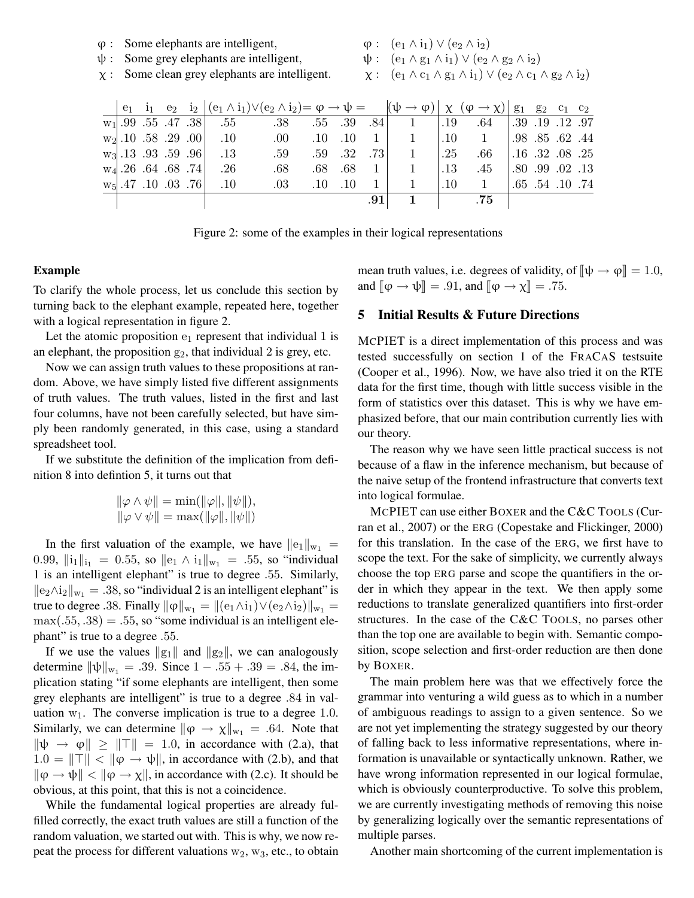- $\varphi$  : Some elephants are intelligent,<br> $\psi$  : Some grey elephants are intelli
- $\psi$  : Some grey elephants are intelligent,<br> $\chi$  : Some clean grey elephants are intell
- Some clean grey elephants are intelligent.

 $\varphi: (\mathbf{e}_1 \wedge \mathbf{i}_1) \vee (\mathbf{e}_2 \wedge \mathbf{i}_2)$ 

- $\psi: (\mathbf{e}_1 \wedge \mathbf{g}_1 \wedge \mathbf{i}_1) \vee (\mathbf{e}_2 \wedge \mathbf{g}_2 \wedge \mathbf{i}_2)$
- $\chi:$  (e<sub>1</sub>  $\wedge$  c<sub>1</sub>  $\wedge$  g<sub>1</sub>  $\wedge$  i<sub>1</sub>)  $\vee$  (e<sub>2</sub>  $\wedge$  c<sub>1</sub>  $\wedge$  g<sub>2</sub>  $\wedge$  i<sub>2</sub>)

|  |  |                                | $e_1$ $i_1$ $e_2$ $i_2$ $ (e_1 \wedge i_1) \vee (e_2 \wedge i_2) = \varphi \rightarrow \psi =$ $ (\psi \rightarrow \varphi)  \chi (\varphi \rightarrow \chi)  g_1 g_2 c_1 c_2$ |             |         |                |                |         |                                                                                                                                                                                                                                                                                                                                                                                                                                                                                                                                                                                                                  |                         |                 |  |
|--|--|--------------------------------|--------------------------------------------------------------------------------------------------------------------------------------------------------------------------------|-------------|---------|----------------|----------------|---------|------------------------------------------------------------------------------------------------------------------------------------------------------------------------------------------------------------------------------------------------------------------------------------------------------------------------------------------------------------------------------------------------------------------------------------------------------------------------------------------------------------------------------------------------------------------------------------------------------------------|-------------------------|-----------------|--|
|  |  | $w_1$ , 99 .55 .47 .38 .55     | $.38 \t .55 \t .39$                                                                                                                                                            |             |         |                | $.84$ 1        | .19     | $.64$   $.39$ $.19$ $.12$ $.97$                                                                                                                                                                                                                                                                                                                                                                                                                                                                                                                                                                                  |                         |                 |  |
|  |  | $w_2$ , 10 .58 .29 .00 .10 .00 |                                                                                                                                                                                | $.10$ $.10$ |         | $1 \mid$       |                |         | $.10 \t 1$                                                                                                                                                                                                                                                                                                                                                                                                                                                                                                                                                                                                       | $.98$ $.85$ $.62$ $.44$ |                 |  |
|  |  | $w_3$ 13 .93 .59 .96 .13       | .59                                                                                                                                                                            |             | .59 .32 | .73            | $\overline{1}$ | .25     | $.66$ $.16$ $.32$ $.08$ $.25$                                                                                                                                                                                                                                                                                                                                                                                                                                                                                                                                                                                    |                         |                 |  |
|  |  | $w_4$ . 26 . 64 . 68 . 74 . 26 | .68                                                                                                                                                                            | .68         | .68     | $\overline{1}$ |                | $.13\,$ | .45                                                                                                                                                                                                                                                                                                                                                                                                                                                                                                                                                                                                              | .80.99.02.13            |                 |  |
|  |  | $w_5$ , 47 .10 .03 .76 .10     | .03                                                                                                                                                                            | $.10$ $.10$ |         | $\overline{1}$ |                | $.10\,$ | $\begin{array}{\begin{array}{\small \begin{array}{\small \begin{array}{\small \end{array}}}}\\{\small \end{array}}\\{\small \end{array}}\\{\small \end{array}}{\small \end{array}}{\small \begin{array}{\small \end{array}}{\small \begin{array}{\small \textbf{1}}}\\{\small \textbf{1}}\\{\small \end{array}}{\small \end{array}}{\small \begin{array}{\small \textbf{1}}\\{\small \textbf{1}}\\{\small \end{array}}{\small \begin{array}{\small \textbf{1}}\\{\small \textbf{1}}\\{\small \end{array}}{\small \end{array}}{\small \begin{array}{cccc \textbf{1}}\\{\small \textbf{1}}\\{\small \textbf{1}}\\$ |                         | .65 .54 .10 .74 |  |
|  |  |                                |                                                                                                                                                                                |             |         | .91            |                |         | .75                                                                                                                                                                                                                                                                                                                                                                                                                                                                                                                                                                                                              |                         |                 |  |

Figure 2: some of the examples in their logical representations

## Example

To clarify the whole process, let us conclude this section by turning back to the elephant example, repeated here, together with a logical representation in figure 2.

Let the atomic proposition  $e_1$  represent that individual 1 is an elephant, the proposition  $g_2$ , that individual 2 is grey, etc.

Now we can assign truth values to these propositions at random. Above, we have simply listed five different assignments of truth values. The truth values, listed in the first and last four columns, have not been carefully selected, but have simply been randomly generated, in this case, using a standard spreadsheet tool.

If we substitute the definition of the implication from definition 8 into defintion 5, it turns out that

$$
\|\varphi \wedge \psi\| = \min(\|\varphi\|, \|\psi\|),
$$
  

$$
\|\varphi \vee \psi\| = \max(\|\varphi\|, \|\psi\|)
$$

In the first valuation of the example, we have  $||e_1||_{w_1} =$ 0.99,  $\|\mathbf{i}_1\|_{\mathbf{i}_1} = 0.55$ , so  $\|\mathbf{e}_1 \wedge \mathbf{i}_1\|_{\mathbf{w}_1} = .55$ , so "individual 1 is an intelligent elephant" is true to degree .55. Similarly,  $||e_2 \wedge i_2||_{w_1} = .38$ , so "individual 2 is an intelligent elephant" is true to degree .38. Finally  $\|\varphi\|_{w_1} = \|(\varphi_1 \wedge i_1) \vee (\varphi_2 \wedge i_2)\|_{w_1} =$  $max(.55, .38) = .55$ , so "some individual is an intelligent elephant" is true to a degree .55.

If we use the values  $||g_1||$  and  $||g_2||$ , we can analogously determine  $\|\psi\|_{w_1} = .39$ . Since  $1 - .55 + .39 = .84$ , the implication stating "if some elephants are intelligent, then some grey elephants are intelligent" is true to a degree .84 in valuation  $w_1$ . The converse implication is true to a degree 1.0. Similarly, we can determine  $\|\varphi \to \chi\|_{w_1} = .64$ . Note that  $\|\psi \rightarrow \varphi\| \geq ||\top|| = 1.0$ , in accordance with (2.a), that  $1.0 = ||\top|| < ||\varphi \rightarrow \psi||$ , in accordance with (2.b), and that  $\|\varphi \to \psi\| < \|\varphi \to \chi\|$ , in accordance with (2.c). It should be obvious, at this point, that this is not a coincidence.

While the fundamental logical properties are already fulfilled correctly, the exact truth values are still a function of the random valuation, we started out with. This is why, we now repeat the process for different valuations  $w_2$ ,  $w_3$ , etc., to obtain

mean truth values, i.e. degrees of validity, of  $[\![\psi \rightarrow \varphi]\!] = 1.0$ ,<br>and  $[\![\alpha \rightarrow \psi]\!] = 01$ , and  $[\![\alpha \rightarrow \psi]\!] = 75$ and  $[\![\varphi \rightarrow \psi]\!] = .91$ , and  $[\![\varphi \rightarrow \chi]\!] = .75$ .

## 5 Initial Results & Future Directions

MCPIET is a direct implementation of this process and was tested successfully on section 1 of the FRACAS testsuite (Cooper et al., 1996). Now, we have also tried it on the RTE data for the first time, though with little success visible in the form of statistics over this dataset. This is why we have emphasized before, that our main contribution currently lies with our theory.

The reason why we have seen little practical success is not because of a flaw in the inference mechanism, but because of the naive setup of the frontend infrastructure that converts text into logical formulae.

MCPIET can use either BOXER and the C&C TOOLS (Curran et al., 2007) or the ERG (Copestake and Flickinger, 2000) for this translation. In the case of the ERG, we first have to scope the text. For the sake of simplicity, we currently always choose the top ERG parse and scope the quantifiers in the order in which they appear in the text. We then apply some reductions to translate generalized quantifiers into first-order structures. In the case of the C&C TOOLS, no parses other than the top one are available to begin with. Semantic composition, scope selection and first-order reduction are then done by BOXER.

The main problem here was that we effectively force the grammar into venturing a wild guess as to which in a number of ambiguous readings to assign to a given sentence. So we are not yet implementing the strategy suggested by our theory of falling back to less informative representations, where information is unavailable or syntactically unknown. Rather, we have wrong information represented in our logical formulae, which is obviously counterproductive. To solve this problem, we are currently investigating methods of removing this noise by generalizing logically over the semantic representations of multiple parses.

Another main shortcoming of the current implementation is